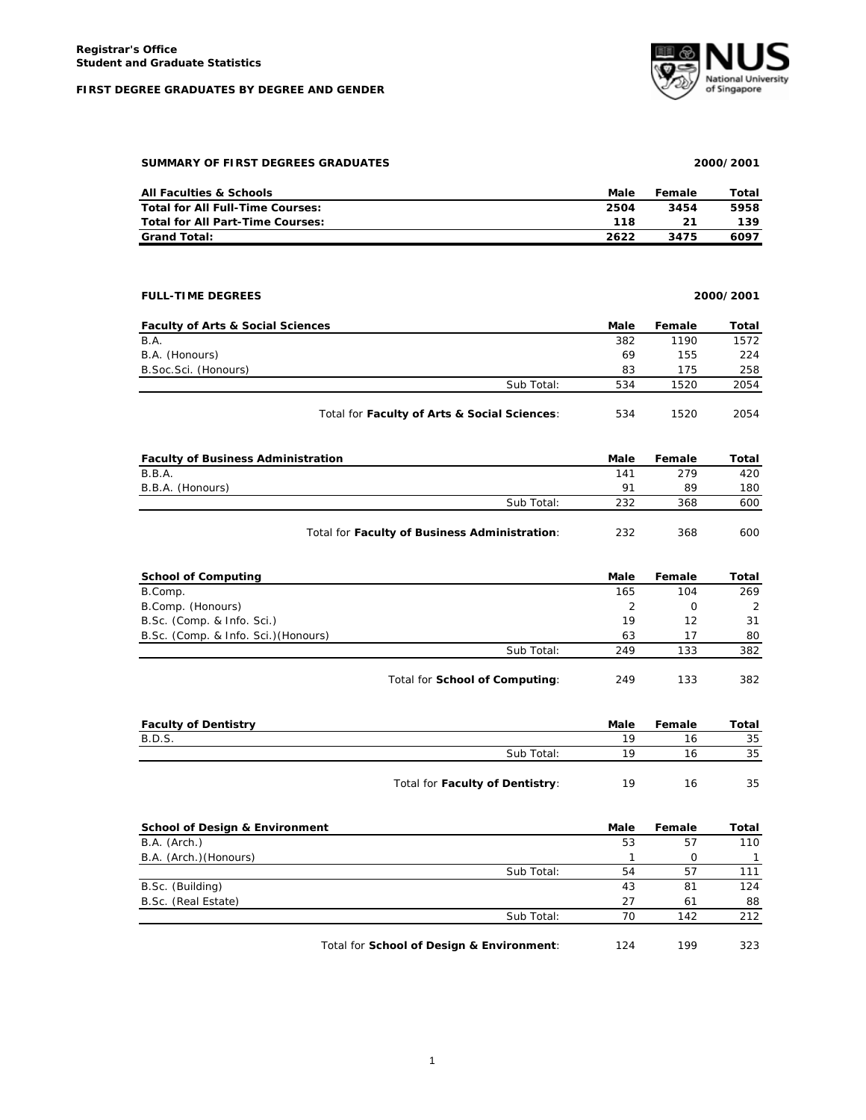## **FIRST DEGREE GRADUATES BY DEGREE AND GENDER**



**SUMMARY OF FIRST DEGREES GRADUATES 2000/2001**

|  | SUMMARY OF FIRST DEGREES GRADUATES |
|--|------------------------------------|
|  |                                    |

| <b>All Faculties &amp; Schools</b>      | Male | Female | Total |
|-----------------------------------------|------|--------|-------|
| <b>Total for All Full-Time Courses:</b> | 2504 | 3454   | 5958  |
| Total for All Part-Time Courses:        | 118  |        | 139   |
| <b>Grand Total:</b>                     | 2622 | 3475   | 6097  |

## **FULL-TIME DEGREES 2000/2001**

| <b>Faculty of Arts &amp; Social Sciences</b> |                                              | Male | Female | Total |
|----------------------------------------------|----------------------------------------------|------|--------|-------|
| B.A.                                         |                                              | 382  | 1190   | 1572  |
| B.A. (Honours)                               |                                              | 69   | 155    | 224   |
| B. Soc. Sci. (Honours)                       |                                              | 83   | 175    | 258   |
|                                              | Sub Total:                                   | 534  | 1520   | 2054  |
|                                              | Total for Faculty of Arts & Social Sciences: | 534  | 1520   | 2054  |

| <b>Faculty of Business Administration</b> |            | Male           | Female | Total |
|-------------------------------------------|------------|----------------|--------|-------|
| B.B.A.                                    |            | 141            | 279    | 420   |
| B.B.A. (Honours)                          |            | Q <sub>1</sub> | 89     | 180   |
|                                           | Sub Total: | 232            | 368    | 600   |

| Total for Faculty of Business Administration: | 232 | 368 | 600 |
|-----------------------------------------------|-----|-----|-----|
|-----------------------------------------------|-----|-----|-----|

| <b>School of Computing</b>           |                                | Male | Female | Total |
|--------------------------------------|--------------------------------|------|--------|-------|
| B.Comp.                              |                                | 165  | 104    | 269   |
| B.Comp. (Honours)                    |                                |      | O      | 2     |
| B.Sc. (Comp. & Info. Sci.)           |                                | 19   | 12     | 31    |
| B.Sc. (Comp. & Info. Sci.) (Honours) |                                | 63   | 17     | 80    |
|                                      | Sub Total:                     | 249  | 133    | 382   |
|                                      | Total for School of Computing: | 249  | 133    | 382   |

| <b>Faculty of Dentistry</b> |                                 | Male | Female | Total |
|-----------------------------|---------------------------------|------|--------|-------|
| B.D.S.                      |                                 | 19   | 16     | 35    |
|                             | Sub Total:                      | 1 Q  | 16     | 35    |
|                             | Total for Faculty of Dentistry: | 19   | 16     | 35    |

| <b>School of Design &amp; Environment</b> |                                           | Male | Female | Total |
|-------------------------------------------|-------------------------------------------|------|--------|-------|
| B.A. (Arch.)                              |                                           | 53   | 57     | 110   |
| B.A. (Arch.) (Honours)                    |                                           |      | 0      |       |
|                                           | Sub Total:                                | 54   | 57     | 111   |
| B.Sc. (Building)                          |                                           | 43   | 81     | 124   |
| B.Sc. (Real Estate)                       |                                           | 27   | 61     | 88    |
|                                           | Sub Total:                                | 70   | 142    | 212   |
|                                           | Total for School of Design & Environment: | 124  | 199    | 323   |